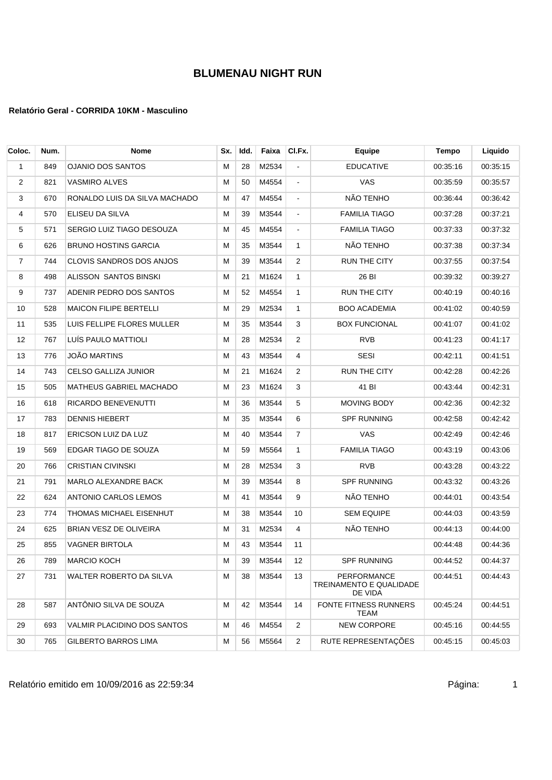### **Relatório Geral - CORRIDA 10KM - Masculino**

| Coloc. | Num. | <b>Nome</b>                    | Sx. | Idd. | Faixa | CI.Fx.         | Equipe                                                   | Tempo    | Liquido  |
|--------|------|--------------------------------|-----|------|-------|----------------|----------------------------------------------------------|----------|----------|
| 1      | 849  | <b>OJANIO DOS SANTOS</b>       | М   | 28   | M2534 | ä,             | <b>EDUCATIVE</b>                                         | 00:35:16 | 00:35:15 |
| 2      | 821  | <b>VASMIRO ALVES</b>           | м   | 50   | M4554 | $\blacksquare$ | <b>VAS</b>                                               | 00:35:59 | 00:35:57 |
| 3      | 670  | RONALDO LUIS DA SILVA MACHADO  | м   | 47   | M4554 | $\blacksquare$ | NÃO TENHO                                                | 00:36:44 | 00:36:42 |
| 4      | 570  | ELISEU DA SILVA                | М   | 39   | M3544 | $\blacksquare$ | <b>FAMILIA TIAGO</b>                                     | 00:37:28 | 00:37:21 |
| 5      | 571  | SERGIO LUIZ TIAGO DESOUZA      | М   | 45   | M4554 | $\blacksquare$ | <b>FAMILIA TIAGO</b>                                     | 00:37:33 | 00:37:32 |
| 6      | 626  | <b>BRUNO HOSTINS GARCIA</b>    | М   | 35   | M3544 | 1              | NÃO TENHO                                                | 00:37:38 | 00:37:34 |
| 7      | 744  | CLOVIS SANDROS DOS ANJOS       | М   | 39   | M3544 | 2              | <b>RUN THE CITY</b>                                      | 00:37:55 | 00:37:54 |
| 8      | 498  | ALISSON SANTOS BINSKI          | м   | 21   | M1624 | $\mathbf{1}$   | 26 BI                                                    | 00:39:32 | 00:39:27 |
| 9      | 737  | ADENIR PEDRO DOS SANTOS        | м   | 52   | M4554 | $\mathbf{1}$   | <b>RUN THE CITY</b>                                      | 00:40:19 | 00:40:16 |
| 10     | 528  | <b>MAICON FILIPE BERTELLI</b>  | М   | 29   | M2534 | $\mathbf{1}$   | <b>BOO ACADEMIA</b>                                      | 00:41:02 | 00:40:59 |
| 11     | 535  | LUIS FELLIPE FLORES MULLER     | М   | 35   | M3544 | 3              | <b>BOX FUNCIONAL</b>                                     | 00:41:07 | 00:41:02 |
| 12     | 767  | LUÍS PAULO MATTIOLI            | М   | 28   | M2534 | 2              | <b>RVB</b>                                               | 00:41:23 | 00:41:17 |
| 13     | 776  | <b>JOÃO MARTINS</b>            | м   | 43   | M3544 | 4              | <b>SESI</b>                                              | 00:42:11 | 00:41:51 |
| 14     | 743  | CELSO GALLIZA JUNIOR           | м   | 21   | M1624 | 2              | RUN THE CITY                                             | 00:42:28 | 00:42:26 |
| 15     | 505  | <b>MATHEUS GABRIEL MACHADO</b> | м   | 23   | M1624 | 3              | 41 BI                                                    | 00:43:44 | 00:42:31 |
| 16     | 618  | RICARDO BENEVENUTTI            | м   | 36   | M3544 | 5              | MOVING BODY                                              | 00:42:36 | 00:42:32 |
| 17     | 783  | <b>DENNIS HIEBERT</b>          | М   | 35   | M3544 | 6              | <b>SPF RUNNING</b>                                       | 00:42:58 | 00:42:42 |
| 18     | 817  | ERICSON LUIZ DA LUZ            | М   | 40   | M3544 | $\overline{7}$ | VAS                                                      | 00:42:49 | 00:42:46 |
| 19     | 569  | EDGAR TIAGO DE SOUZA           | м   | 59   | M5564 | 1              | <b>FAMILIA TIAGO</b>                                     | 00:43:19 | 00:43:06 |
| 20     | 766  | <b>CRISTIAN CIVINSKI</b>       | М   | 28   | M2534 | 3              | <b>RVB</b>                                               | 00:43:28 | 00:43:22 |
| 21     | 791  | MARLO ALEXANDRE BACK           | м   | 39   | M3544 | 8              | <b>SPF RUNNING</b>                                       | 00:43:32 | 00:43:26 |
| 22     | 624  | ANTONIO CARLOS LEMOS           | м   | 41   | M3544 | 9              | NÃO TENHO                                                | 00:44:01 | 00:43:54 |
| 23     | 774  | THOMAS MICHAEL EISENHUT        | М   | 38   | M3544 | 10             | <b>SEM EQUIPE</b>                                        | 00:44:03 | 00:43:59 |
| 24     | 625  | BRIAN VESZ DE OLIVEIRA         | м   | 31   | M2534 | 4              | NÃO TENHO                                                | 00:44:13 | 00:44:00 |
| 25     | 855  | <b>VAGNER BIRTOLA</b>          | м   | 43   | M3544 | 11             |                                                          | 00:44:48 | 00:44:36 |
| 26     | 789  | <b>MARCIO KOCH</b>             | M   | 39   | M3544 | 12             | SPF RUNNING                                              | 00:44:52 | 00:44:37 |
| 27     | 731  | WALTER ROBERTO DA SILVA        | М   | 38   | M3544 | 13             | <b>PERFORMANCE</b><br>TREINAMENTO E QUALIDADE<br>DE VIDA | 00:44:51 | 00:44:43 |
| 28     | 587  | ANTÔNIO SILVA DE SOUZA         | м   | 42   | M3544 | 14             | FONTE FITNESS RUNNERS<br>TEAM                            | 00:45:24 | 00:44:51 |
| 29     | 693  | VALMIR PLACIDINO DOS SANTOS    | м   | 46   | M4554 | $\overline{c}$ | <b>NEW CORPORE</b>                                       | 00:45:16 | 00:44:55 |
| 30     | 765  | <b>GILBERTO BARROS LIMA</b>    | М   | 56   | M5564 | $\overline{2}$ | RUTE REPRESENTAÇÕES                                      | 00:45:15 | 00:45:03 |

Relatório emitido em 10/09/2016 as 22:59:34 <br>
1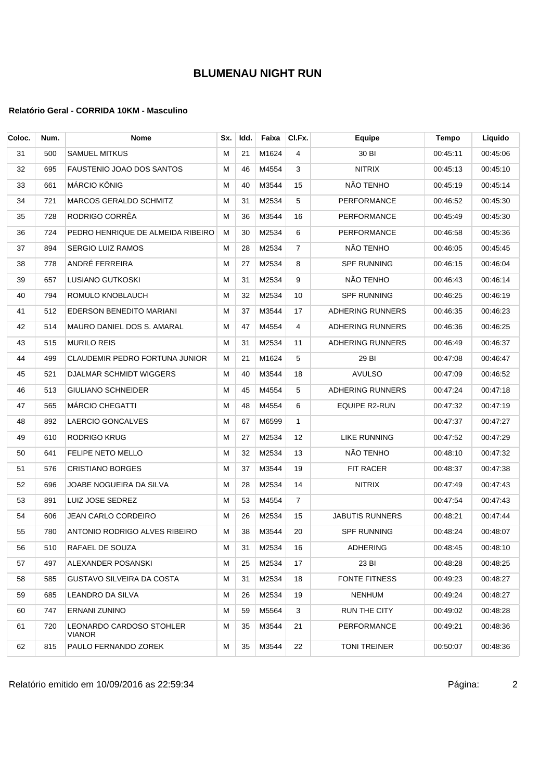### **Relatório Geral - CORRIDA 10KM - Masculino**

| Coloc. | Num. | <b>Nome</b>                               | Sx. | Idd. | Faixa      | CI.Fx.         | <b>Equipe</b>           | <b>Tempo</b> | Liquido  |
|--------|------|-------------------------------------------|-----|------|------------|----------------|-------------------------|--------------|----------|
| 31     | 500  | <b>SAMUEL MITKUS</b>                      | м   | 21   | M1624      | 4              | 30 BI                   | 00:45:11     | 00:45:06 |
| 32     | 695  | FAUSTENIO JOAO DOS SANTOS                 | м   | 46   | M4554      | 3              | <b>NITRIX</b>           | 00:45:13     | 00:45:10 |
| 33     | 661  | MÁRCIO KÖNIG                              | М   | 40   | M3544      | 15             | NÃO TENHO               | 00:45:19     | 00:45:14 |
| 34     | 721  | <b>MARCOS GERALDO SCHMITZ</b>             | М   | 31   | M2534      | 5              | PERFORMANCE             | 00:46:52     | 00:45:30 |
| 35     | 728  | RODRIGO CORRÊA                            | M   | 36   | M3544      | 16             | PERFORMANCE             | 00:45:49     | 00:45:30 |
| 36     | 724  | PEDRO HENRIQUE DE ALMEIDA RIBEIRO         | м   | 30   | M2534      | 6              | PERFORMANCE             | 00:46:58     | 00:45:36 |
| 37     | 894  | <b>SERGIO LUIZ RAMOS</b>                  | м   | 28   | M2534      | $\overline{7}$ | NÃO TENHO               | 00:46:05     | 00:45:45 |
| 38     | 778  | ANDRÉ FERREIRA                            | М   | 27   | M2534      | 8              | <b>SPF RUNNING</b>      | 00:46:15     | 00:46:04 |
| 39     | 657  | LUSIANO GUTKOSKI                          | М   | 31   | M2534      | 9              | NÃO TENHO               | 00:46:43     | 00:46:14 |
| 40     | 794  | ROMULO KNOBLAUCH                          | M   | 32   | M2534      | 10             | <b>SPF RUNNING</b>      | 00:46:25     | 00:46:19 |
| 41     | 512  | EDERSON BENEDITO MARIANI                  | M   | 37   | M3544      | 17             | <b>ADHERING RUNNERS</b> | 00:46:35     | 00:46:23 |
| 42     | 514  | MAURO DANIEL DOS S. AMARAL                | м   | 47   | M4554      | 4              | <b>ADHERING RUNNERS</b> | 00:46:36     | 00:46:25 |
| 43     | 515  | <b>MURILO REIS</b>                        | м   | 31   | M2534      | 11             | <b>ADHERING RUNNERS</b> | 00:46:49     | 00:46:37 |
| 44     | 499  | <b>CLAUDEMIR PEDRO FORTUNA JUNIOR</b>     | М   | 21   | M1624      | 5              | 29 BI                   | 00:47:08     | 00:46:47 |
| 45     | 521  | <b>DJALMAR SCHMIDT WIGGERS</b>            | М   | 40   | M3544      | 18             | <b>AVULSO</b>           | 00:47:09     | 00:46:52 |
| 46     | 513  | <b>GIULIANO SCHNEIDER</b>                 | М   | 45   | M4554      | 5              | <b>ADHERING RUNNERS</b> | 00:47:24     | 00:47:18 |
| 47     | 565  | MÁRCIO CHEGATTI                           | М   | 48   | M4554      | 6              | <b>EQUIPE R2-RUN</b>    | 00:47:32     | 00:47:19 |
| 48     | 892  | LAERCIO GONCALVES                         | М   | 67   | M6599      | 1              |                         | 00:47:37     | 00:47:27 |
| 49     | 610  | RODRIGO KRUG                              | М   | 27   | M2534      | 12             | <b>LIKE RUNNING</b>     | 00:47:52     | 00:47:29 |
| 50     | 641  | FELIPE NETO MELLO                         | М   | 32   | M2534      | 13             | NÃO TENHO               | 00:48:10     | 00:47:32 |
| 51     | 576  | <b>CRISTIANO BORGES</b>                   | М   | 37   | M3544      | 19             | <b>FIT RACER</b>        | 00:48:37     | 00:47:38 |
| 52     | 696  | JOABE NOGUEIRA DA SILVA                   | М   | 28   | M2534      | 14             | <b>NITRIX</b>           | 00:47:49     | 00:47:43 |
| 53     | 891  | LUIZ JOSE SEDREZ                          | M   | 53   | M4554      | $\overline{7}$ |                         | 00:47:54     | 00:47:43 |
| 54     | 606  | JEAN CARLO CORDEIRO                       | м   | 26   | M2534      | 15             | <b>JABUTIS RUNNERS</b>  | 00:48:21     | 00:47:44 |
| 55     | 780  | ANTONIO RODRIGO ALVES RIBEIRO             | м   | 38   | M3544      | 20             | <b>SPF RUNNING</b>      | 00:48:24     | 00:48:07 |
| 56     | 510  | RAFAEL DE SOUZA                           |     |      | M 31 M2534 | 16             | ADHERING                | 00:48:45     | 00:48:10 |
| 57     | 497  | ALEXANDER POSANSKI                        | м   | 25   | M2534      | 17             | 23 BI                   | 00:48:28     | 00:48:25 |
| 58     | 585  | GUSTAVO SILVEIRA DA COSTA                 | M   | 31   | M2534      | 18             | <b>FONTE FITNESS</b>    | 00:49:23     | 00:48:27 |
| 59     | 685  | LEANDRO DA SILVA                          | м   | 26   | M2534      | 19             | NENHUM                  | 00:49:24     | 00:48:27 |
| 60     | 747  | ERNANI ZUNINO                             | м   | 59   | M5564      | 3              | RUN THE CITY            | 00:49:02     | 00:48:28 |
| 61     | 720  | <b>LEONARDO CARDOSO STOHLER</b><br>VIANOR | M   | 35   | M3544      | 21             | <b>PERFORMANCE</b>      | 00:49:21     | 00:48:36 |
| 62     | 815  | PAULO FERNANDO ZOREK                      | м   | 35   | M3544      | 22             | <b>TONI TREINER</b>     | 00:50:07     | 00:48:36 |

Relatório emitido em 10/09/2016 as 22:59:34 <br>
2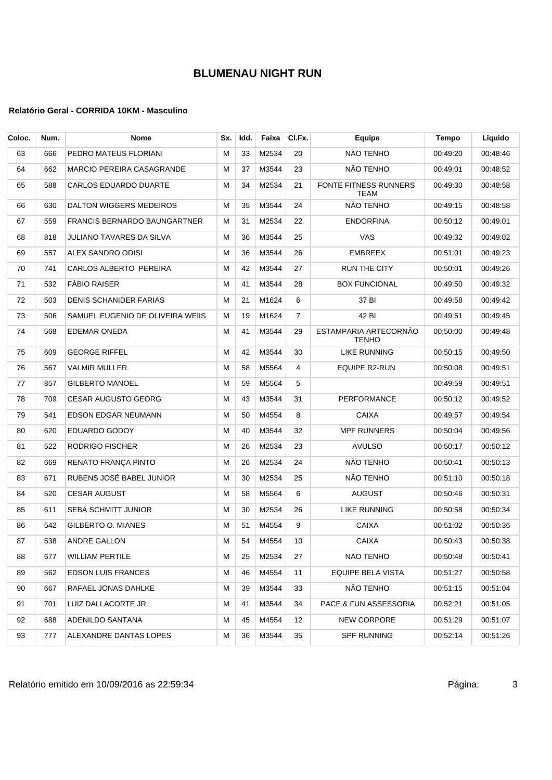| Coloc. | Num. | <b>Nome</b>                         | Sx. | Idd. | Faixa | CI.Fx.         | Equipe                                | Tempo    | Liquido  |
|--------|------|-------------------------------------|-----|------|-------|----------------|---------------------------------------|----------|----------|
| 63     | 666  | PEDRO MATEUS FLORIANI               | М   | 33   | M2534 | 20             | NÃO TENHO                             | 00:49:20 | 00:48:46 |
| 64     | 662  | <b>MARCIO PEREIRA CASAGRANDE</b>    | м   | 37   | M3544 | 23             | NÃO TENHO                             | 00:49:01 | 00:48:52 |
| 65     | 588  | <b>CARLOS EDUARDO DUARTE</b>        | М   | 34   | M2534 | 21             | FONTE FITNESS RUNNERS<br><b>TEAM</b>  | 00:49:30 | 00:48:58 |
| 66     | 630  | DALTON WIGGERS MEDEIROS             | М   | 35   | M3544 | 24             | NÃO TENHO                             | 00:49:15 | 00:48:58 |
| 67     | 559  | <b>FRANCIS BERNARDO BAUNGARTNER</b> | м   | 31   | M2534 | 22             | <b>ENDORFINA</b>                      | 00:50:12 | 00:49:01 |
| 68     | 818  | <b>JULIANO TAVARES DA SILVA</b>     | м   | 36   | M3544 | 25             | <b>VAS</b>                            | 00:49:32 | 00:49:02 |
| 69     | 557  | ALEX SANDRO ODISI                   | М   | 36   | M3544 | 26             | EMBREEX                               | 00:51:01 | 00:49:23 |
| 70     | 741  | CARLOS ALBERTO PEREIRA              | М   | 42   | M3544 | 27             | RUN THE CITY                          | 00:50:01 | 00:49:26 |
| 71     | 532  | <b>FABIO RAISER</b>                 | М   | 41   | M3544 | 28             | <b>BOX FUNCIONAL</b>                  | 00:49:50 | 00:49:32 |
| 72     | 503  | <b>DENIS SCHANIDER FARIAS</b>       | М   | 21   | M1624 | 6              | 37 BI                                 | 00:49:58 | 00:49:42 |
| 73     | 506  | SAMUEL EUGENIO DE OLIVEIRA WEIIS    | м   | 19   | M1624 | $\overline{7}$ | 42 BI                                 | 00:49:51 | 00:49:45 |
| 74     | 568  | <b>EDEMAR ONEDA</b>                 | м   | 41   | M3544 | 29             | ESTAMPARIA ARTECORNÃO<br><b>TENHO</b> | 00:50:00 | 00:49:48 |
| 75     | 609  | <b>GEORGE RIFFEL</b>                | м   | 42   | M3544 | 30             | LIKE RUNNING                          | 00:50:15 | 00:49:50 |
| 76     | 567  | <b>VALMIR MULLER</b>                | м   | 58   | M5564 | 4              | EQUIPE R2-RUN                         | 00:50:08 | 00:49:51 |
| 77     | 857  | <b>GILBERTO MANOEL</b>              | М   | 59   | M5564 | 5              |                                       | 00:49:59 | 00:49:51 |
| 78     | 709  | <b>CESAR AUGUSTO GEORG</b>          | М   | 43   | M3544 | 31             | PERFORMANCE                           | 00:50:12 | 00:49:52 |
| 79     | 541  | EDSON EDGAR NEUMANN                 | м   | 50   | M4554 | 8              | CAIXA                                 | 00:49:57 | 00:49:54 |
| 80     | 620  | EDUARDO GODOY                       | М   | 40   | M3544 | 32             | <b>MPF RUNNERS</b>                    | 00:50:04 | 00:49:56 |
| 81     | 522  | RODRIGO FISCHER                     | М   | 26   | M2534 | 23             | <b>AVULSO</b>                         | 00:50:17 | 00:50:12 |
| 82     | 669  | RENATO FRANÇA PINTO                 | М   | 26   | M2534 | 24             | NÃO TENHO                             | 00:50:41 | 00:50:13 |
| 83     | 671  | RUBENS JOSÉ BABEL JUNIOR            | М   | 30   | M2534 | 25             | NÃO TENHO                             | 00:51:10 | 00:50:18 |
| 84     | 520  | <b>CESAR AUGUST</b>                 | М   | 58   | M5564 | 6              | <b>AUGUST</b>                         | 00:50:46 | 00:50:31 |
| 85     | 611  | <b>SEBA SCHMITT JUNIOR</b>          | М   | 30   | M2534 | 26             | LIKE RUNNING                          | 00:50:58 | 00:50:34 |
| 86     | 542  | GILBERTO O. MIANES                  | м   | 51   | M4554 | 9              | CAIXA                                 | 00:51:02 | 00:50:36 |
| 87     | 538  | ANDRE GALLON                        | M   | 54   | M4554 | 10             | <b>CAIXA</b>                          | 00:50:43 | 00:50:38 |
| 88     | 677  | <b>WILLIAM PERTILE</b>              | м   | 25   | M2534 | 27             | NÃO TENHO                             | 00:50:48 | 00:50:41 |
| 89     | 562  | <b>EDSON LUIS FRANCES</b>           | M   | 46   | M4554 | 11             | EQUIPE BELA VISTA                     | 00:51:27 | 00:50:58 |
| 90     | 667  | RAFAEL JONAS DAHLKE                 | M   | 39   | M3544 | 33             | NÃO TENHO                             | 00:51:15 | 00:51:04 |
| 91     | 701  | LUIZ DALLACORTE JR.                 | м   | 41   | M3544 | 34             | PACE & FUN ASSESSORIA                 | 00:52:21 | 00:51:05 |
| 92     | 688  | ADENILDO SANTANA                    | м   | 45   | M4554 | 12             | <b>NEW CORPORE</b>                    | 00:51:29 | 00:51:07 |
| 93     | 777  | ALEXANDRE DANTAS LOPES              | м   | 36   | M3544 | 35             | <b>SPF RUNNING</b>                    | 00:52:14 | 00:51:26 |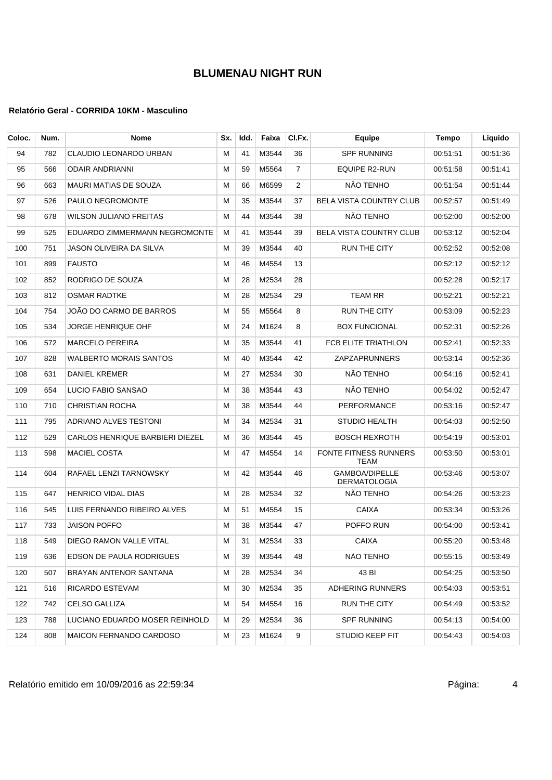| Coloc. | Num. | Nome                            | Sx. | Idd. | Faixa | CI.Fx.         | Equipe                                | Tempo    | Liquido  |
|--------|------|---------------------------------|-----|------|-------|----------------|---------------------------------------|----------|----------|
| 94     | 782  | CLAUDIO LEONARDO URBAN          | М   | 41   | M3544 | 36             | <b>SPF RUNNING</b>                    | 00:51:51 | 00:51:36 |
| 95     | 566  | <b>ODAIR ANDRIANNI</b>          | м   | 59   | M5564 | $\overline{7}$ | EQUIPE R2-RUN                         | 00:51:58 | 00:51:41 |
| 96     | 663  | MAURI MATIAS DE SOUZA           | М   | 66   | M6599 | 2              | NÃO TENHO                             | 00:51:54 | 00:51:44 |
| 97     | 526  | PAULO NEGROMONTE                | М   | 35   | M3544 | 37             | <b>BELA VISTA COUNTRY CLUB</b>        | 00:52:57 | 00:51:49 |
| 98     | 678  | WILSON JULIANO FREITAS          | м   | 44   | M3544 | 38             | NÃO TENHO                             | 00:52:00 | 00:52:00 |
| 99     | 525  | EDUARDO ZIMMERMANN NEGROMONTE   | М   | 41   | M3544 | 39             | <b>BELA VISTA COUNTRY CLUB</b>        | 00:53:12 | 00:52:04 |
| 100    | 751  | JASON OLIVEIRA DA SILVA         | м   | 39   | M3544 | 40             | <b>RUN THE CITY</b>                   | 00:52:52 | 00:52:08 |
| 101    | 899  | <b>FAUSTO</b>                   | М   | 46   | M4554 | 13             |                                       | 00:52:12 | 00:52:12 |
| 102    | 852  | RODRIGO DE SOUZA                | М   | 28   | M2534 | 28             |                                       | 00:52:28 | 00:52:17 |
| 103    | 812  | <b>OSMAR RADTKE</b>             | м   | 28   | M2534 | 29             | <b>TEAM RR</b>                        | 00:52:21 | 00:52:21 |
| 104    | 754  | JOÃO DO CARMO DE BARROS         | М   | 55   | M5564 | 8              | <b>RUN THE CITY</b>                   | 00:53:09 | 00:52:23 |
| 105    | 534  | <b>JORGE HENRIQUE OHF</b>       | М   | 24   | M1624 | 8              | <b>BOX FUNCIONAL</b>                  | 00:52:31 | 00:52:26 |
| 106    | 572  | <b>MARCELO PEREIRA</b>          | м   | 35   | M3544 | 41             | FCB ELITE TRIATHLON                   | 00:52:41 | 00:52:33 |
| 107    | 828  | <b>WALBERTO MORAIS SANTOS</b>   | М   | 40   | M3544 | 42             | <b>ZAPZAPRUNNERS</b>                  | 00:53:14 | 00:52:36 |
| 108    | 631  | DANIEL KREMER                   | М   | 27   | M2534 | 30             | NÃO TENHO                             | 00:54:16 | 00:52:41 |
| 109    | 654  | LUCIO FABIO SANSAO              | м   | 38   | M3544 | 43             | NÃO TENHO                             | 00:54:02 | 00:52:47 |
| 110    | 710  | <b>CHRISTIAN ROCHA</b>          | М   | 38   | M3544 | 44             | PERFORMANCE                           | 00:53:16 | 00:52:47 |
| 111    | 795  | ADRIANO ALVES TESTONI           | М   | 34   | M2534 | 31             | <b>STUDIO HEALTH</b>                  | 00:54:03 | 00:52:50 |
| 112    | 529  | CARLOS HENRIQUE BARBIERI DIEZEL | м   | 36   | M3544 | 45             | <b>BOSCH REXROTH</b>                  | 00:54:19 | 00:53:01 |
| 113    | 598  | <b>MACIEL COSTA</b>             | М   | 47   | M4554 | 14             | FONTE FITNESS RUNNERS<br><b>TEAM</b>  | 00:53:50 | 00:53:01 |
| 114    | 604  | RAFAEL LENZI TARNOWSKY          | м   | 42   | M3544 | 46             | GAMBOA/DIPELLE<br><b>DERMATOLOGIA</b> | 00:53:46 | 00:53:07 |
| 115    | 647  | <b>HENRICO VIDAL DIAS</b>       | М   | 28   | M2534 | 32             | NÃO TENHO                             | 00:54:26 | 00:53:23 |
| 116    | 545  | LUIS FERNANDO RIBEIRO ALVES     | м   | 51   | M4554 | 15             | CAIXA                                 | 00:53:34 | 00:53:26 |
| 117    | 733  | <b>JAISON POFFO</b>             | м   | 38   | M3544 | 47             | POFFO RUN                             | 00:54:00 | 00:53:41 |
| 118    | 549  | DIEGO RAMON VALLE VITAL         | м   | 31   | M2534 | 33             | <b>CAIXA</b>                          | 00:55:20 | 00:53:48 |
| 119    | 636  | EDSON DE PAULA RODRIGUES        | м   | 39   | M3544 | 48             | NÃO TENHO                             | 00:55:15 | 00:53:49 |
| 120    | 507  | BRAYAN ANTENOR SANTANA          | М   | 28   | M2534 | 34             | 43 BI                                 | 00:54:25 | 00:53:50 |
| 121    | 516  | RICARDO ESTEVAM                 | м   | 30   | M2534 | 35             | ADHERING RUNNERS                      | 00:54:03 | 00:53:51 |
| 122    | 742  | CELSO GALLIZA                   | м   | 54   | M4554 | 16             | RUN THE CITY                          | 00:54:49 | 00:53:52 |
| 123    | 788  | LUCIANO EDUARDO MOSER REINHOLD  | м   | 29   | M2534 | 36             | SPF RUNNING                           | 00:54:13 | 00:54:00 |
| 124    | 808  | <b>MAICON FERNANDO CARDOSO</b>  | м   | 23   | M1624 | 9              | STUDIO KEEP FIT                       | 00:54:43 | 00:54:03 |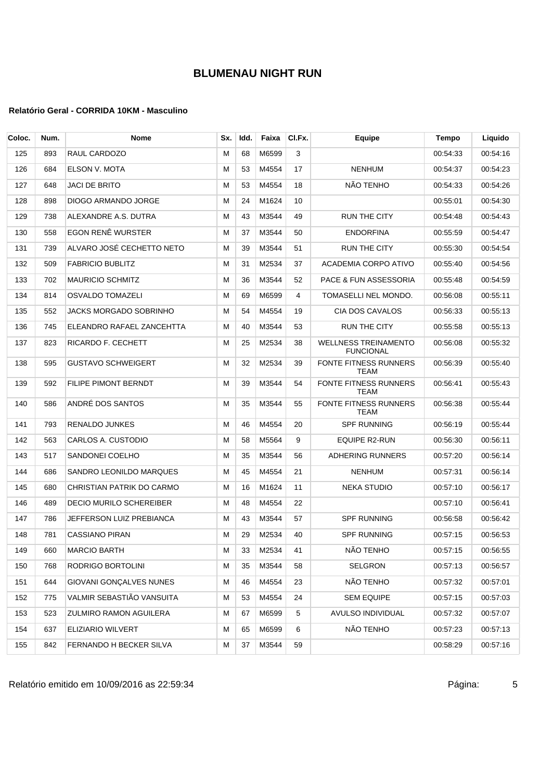| Coloc. | Num. | <b>Nome</b>                   | Sx. | Idd. | Faixa | CI.Fx. | Equipe                                          | Tempo    | Liquido  |
|--------|------|-------------------------------|-----|------|-------|--------|-------------------------------------------------|----------|----------|
| 125    | 893  | RAUL CARDOZO                  | м   | 68   | M6599 | 3      |                                                 | 00:54:33 | 00:54:16 |
| 126    | 684  | ELSON V. MOTA                 | м   | 53   | M4554 | 17     | <b>NENHUM</b>                                   | 00:54:37 | 00:54:23 |
| 127    | 648  | JACI DE BRITO                 | M   | 53   | M4554 | 18     | NÃO TENHO                                       | 00:54:33 | 00:54:26 |
| 128    | 898  | DIOGO ARMANDO JORGE           | M   | 24   | M1624 | 10     |                                                 | 00:55:01 | 00:54:30 |
| 129    | 738  | ALEXANDRE A.S. DUTRA          | м   | 43   | M3544 | 49     | <b>RUN THE CITY</b>                             | 00:54:48 | 00:54:43 |
| 130    | 558  | EGON RENÊ WURSTER             | M   | 37   | M3544 | 50     | ENDORFINA                                       | 00:55:59 | 00:54:47 |
| 131    | 739  | ALVARO JOSÉ CECHETTO NETO     | м   | 39   | M3544 | 51     | <b>RUN THE CITY</b>                             | 00:55:30 | 00:54:54 |
| 132    | 509  | <b>FABRICIO BUBLITZ</b>       | M   | 31   | M2534 | 37     | ACADEMIA CORPO ATIVO                            | 00:55:40 | 00:54:56 |
| 133    | 702  | <b>MAURICIO SCHMITZ</b>       | М   | 36   | M3544 | 52     | PACE & FUN ASSESSORIA                           | 00:55:48 | 00:54:59 |
| 134    | 814  | OSVALDO TOMAZELI              | м   | 69   | M6599 | 4      | TOMASELLI NEL MONDO.                            | 00:56:08 | 00:55:11 |
| 135    | 552  | JACKS MORGADO SOBRINHO        | м   | 54   | M4554 | 19     | CIA DOS CAVALOS                                 | 00:56:33 | 00:55:13 |
| 136    | 745  | ELEANDRO RAFAEL ZANCEHTTA     | м   | 40   | M3544 | 53     | <b>RUN THE CITY</b>                             | 00:55:58 | 00:55:13 |
| 137    | 823  | RICARDO F. CECHETT            | м   | 25   | M2534 | 38     | <b>WELLNESS TREINAMENTO</b><br><b>FUNCIONAL</b> | 00:56:08 | 00:55:32 |
| 138    | 595  | <b>GUSTAVO SCHWEIGERT</b>     | M   | 32   | M2534 | 39     | FONTE FITNESS RUNNERS<br><b>TEAM</b>            | 00:56:39 | 00:55:40 |
| 139    | 592  | FILIPE PIMONT BERNDT          | M   | 39   | M3544 | 54     | FONTE FITNESS RUNNERS<br><b>TEAM</b>            | 00:56:41 | 00:55:43 |
| 140    | 586  | ANDRÉ DOS SANTOS              | M   | 35   | M3544 | 55     | FONTE FITNESS RUNNERS<br><b>TEAM</b>            | 00:56:38 | 00:55:44 |
| 141    | 793  | RENALDO JUNKES                | М   | 46   | M4554 | 20     | <b>SPF RUNNING</b>                              | 00:56:19 | 00:55:44 |
| 142    | 563  | CARLOS A. CUSTODIO            | M   | 58   | M5564 | 9      | EQUIPE R2-RUN                                   | 00:56:30 | 00:56:11 |
| 143    | 517  | SANDONEI COELHO               | м   | 35   | M3544 | 56     | <b>ADHERING RUNNERS</b>                         | 00:57:20 | 00:56:14 |
| 144    | 686  | SANDRO LEONILDO MARQUES       | м   | 45   | M4554 | 21     | <b>NENHUM</b>                                   | 00:57:31 | 00:56:14 |
| 145    | 680  | CHRISTIAN PATRIK DO CARMO     | м   | 16   | M1624 | 11     | NEKA STUDIO                                     | 00:57:10 | 00:56:17 |
| 146    | 489  | DECIO MURILO SCHEREIBER       | м   | 48   | M4554 | 22     |                                                 | 00:57:10 | 00:56:41 |
| 147    | 786  | JEFFERSON LUIZ PREBIANCA      | м   | 43   | M3544 | 57     | <b>SPF RUNNING</b>                              | 00:56:58 | 00:56:42 |
| 148    | 781  | CASSIANO PIRAN                | М   | 29   | M2534 | 40     | <b>SPF RUNNING</b>                              | 00:57:15 | 00:56:53 |
| 149    | 660  | <b>MARCIO BARTH</b>           | M   | 33   | M2534 | 41     | NÃO TENHO                                       | 00:57:15 | 00:56:55 |
| 150    | 768  | RODRIGO BORTOLINI             | M   | 35   | M3544 | 58     | SELGRON                                         | 00:57:13 | 00:56:57 |
| 151    | 644  | GIOVANI GONCALVES NUNES       | м   | 46   | M4554 | 23     | NÃO TENHO                                       | 00:57:32 | 00:57:01 |
| 152    | 775  | VALMIR SEBASTIÃO VANSUITA     | м   | 53   | M4554 | 24     | <b>SEM EQUIPE</b>                               | 00:57:15 | 00:57:03 |
| 153    | 523  | <b>ZULMIRO RAMON AGUILERA</b> | M   | 67   | M6599 | 5      | AVULSO INDIVIDUAL                               | 00:57:32 | 00:57:07 |
| 154    | 637  | ELIZIARIO WILVERT             | м   | 65   | M6599 | 6      | NÃO TENHO                                       | 00:57:23 | 00:57:13 |
| 155    | 842  | FERNANDO H BECKER SILVA       | M   | 37   | M3544 | 59     |                                                 | 00:58:29 | 00:57:16 |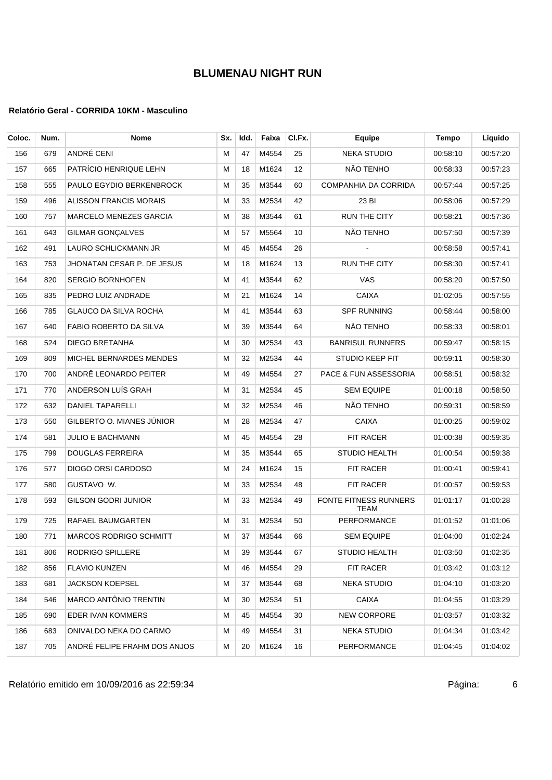| Coloc. | Num. | <b>Nome</b>                   | Sx. | Idd. | Faixa | CI.Fx.            | Equipe                           | Tempo    | Liquido  |
|--------|------|-------------------------------|-----|------|-------|-------------------|----------------------------------|----------|----------|
| 156    | 679  | ANDRÉ CENI                    | м   | 47   | M4554 | 25                | <b>NEKA STUDIO</b>               | 00:58:10 | 00:57:20 |
| 157    | 665  | PATRÍCIO HENRIQUE LEHN        | м   | 18   | M1624 | $12 \overline{ }$ | NÃO TENHO                        | 00:58:33 | 00:57:23 |
| 158    | 555  | PAULO EGYDIO BERKENBROCK      | М   | 35   | M3544 | 60                | COMPANHIA DA CORRIDA             | 00:57:44 | 00:57:25 |
| 159    | 496  | <b>ALISSON FRANCIS MORAIS</b> | М   | 33   | M2534 | 42                | 23 BI                            | 00:58:06 | 00:57:29 |
| 160    | 757  | <b>MARCELO MENEZES GARCIA</b> | M   | 38   | M3544 | 61                | <b>RUN THE CITY</b>              | 00:58:21 | 00:57:36 |
| 161    | 643  | <b>GILMAR GONCALVES</b>       | М   | 57   | M5564 | 10                | NÃO TENHO                        | 00:57:50 | 00:57:39 |
| 162    | 491  | LAURO SCHLICKMANN JR          | м   | 45   | M4554 | 26                |                                  | 00:58:58 | 00:57:41 |
| 163    | 753  | JHONATAN CESAR P. DE JESUS    | М   | 18   | M1624 | 13                | <b>RUN THE CITY</b>              | 00:58:30 | 00:57:41 |
| 164    | 820  | <b>SERGIO BORNHOFEN</b>       | М   | 41   | M3544 | 62                | VAS                              | 00:58:20 | 00:57:50 |
| 165    | 835  | PEDRO LUIZ ANDRADE            | М   | 21   | M1624 | 14                | <b>CAIXA</b>                     | 01:02:05 | 00:57:55 |
| 166    | 785  | <b>GLAUCO DA SILVA ROCHA</b>  | M   | 41   | M3544 | 63                | <b>SPF RUNNING</b>               | 00:58:44 | 00:58:00 |
| 167    | 640  | FABIO ROBERTO DA SILVA        | м   | 39   | M3544 | 64                | NÃO TENHO                        | 00:58:33 | 00:58:01 |
| 168    | 524  | <b>DIEGO BRETANHA</b>         | М   | 30   | M2534 | 43                | <b>BANRISUL RUNNERS</b>          | 00:59:47 | 00:58:15 |
| 169    | 809  | MICHEL BERNARDES MENDES       | М   | 32   | M2534 | 44                | <b>STUDIO KEEP FIT</b>           | 00:59:11 | 00:58:30 |
| 170    | 700  | ANDRÊ LEONARDO PEITER         | М   | 49   | M4554 | 27                | <b>PACE &amp; FUN ASSESSORIA</b> | 00:58:51 | 00:58:32 |
| 171    | 770  | ANDERSON LUÍS GRAH            | М   | 31   | M2534 | 45                | <b>SEM EQUIPE</b>                | 01:00:18 | 00:58:50 |
| 172    | 632  | <b>DANIEL TAPARELLI</b>       | М   | 32   | M2534 | 46                | NÃO TENHO                        | 00:59:31 | 00:58:59 |
| 173    | 550  | GILBERTO O. MIANES JÚNIOR     | м   | 28   | M2534 | 47                | <b>CAIXA</b>                     | 01:00:25 | 00:59:02 |
| 174    | 581  | <b>JULIO E BACHMANN</b>       | М   | 45   | M4554 | 28                | FIT RACER                        | 01:00:38 | 00:59:35 |
| 175    | 799  | <b>DOUGLAS FERREIRA</b>       | М   | 35   | M3544 | 65                | STUDIO HEALTH                    | 01:00:54 | 00:59:38 |
| 176    | 577  | DIOGO ORSI CARDOSO            | М   | 24   | M1624 | 15                | FIT RACER                        | 01:00:41 | 00:59:41 |
| 177    | 580  | GUSTAVO W.                    | М   | 33   | M2534 | 48                | FIT RACER                        | 01:00:57 | 00:59:53 |
| 178    | 593  | GILSON GODRI JUNIOR           | М   | 33   | M2534 | 49                | FONTE FITNESS RUNNERS<br>TEAM    | 01:01:17 | 01:00:28 |
| 179    | 725  | RAFAEL BAUMGARTEN             | М   | 31   | M2534 | 50                | PERFORMANCE                      | 01:01:52 | 01:01:06 |
| 180    | 771  | <b>MARCOS RODRIGO SCHMITT</b> | м   | 37   | M3544 | 66                | <b>SEM EQUIPE</b>                | 01:04:00 | 01:02:24 |
| 181    | 806  | RODRIGO SPILLERE              | м   | 39   | M3544 | 67                | STUDIO HEALTH                    | 01:03:50 | 01:02:35 |
| 182    | 856  | <b>FLAVIO KUNZEN</b>          | М   | 46   | M4554 | 29                | FIT RACER                        | 01:03:42 | 01:03:12 |
| 183    | 681  | <b>JACKSON KOEPSEL</b>        | M   | 37   | M3544 | 68                | NEKA STUDIO                      | 01:04:10 | 01:03:20 |
| 184    | 546  | MARCO ANTÔNIO TRENTIN         | м   | 30   | M2534 | 51                | CAIXA                            | 01:04:55 | 01:03:29 |
| 185    | 690  | EDER IVAN KOMMERS             | M   | 45   | M4554 | 30                | <b>NEW CORPORE</b>               | 01:03:57 | 01:03:32 |
| 186    | 683  | ONIVALDO NEKA DO CARMO        | м   | 49   | M4554 | 31                | <b>NEKA STUDIO</b>               | 01:04:34 | 01:03:42 |
| 187    | 705  | ANDRÉ FELIPE FRAHM DOS ANJOS  | м   | 20   | M1624 | 16                | <b>PERFORMANCE</b>               | 01:04:45 | 01:04:02 |